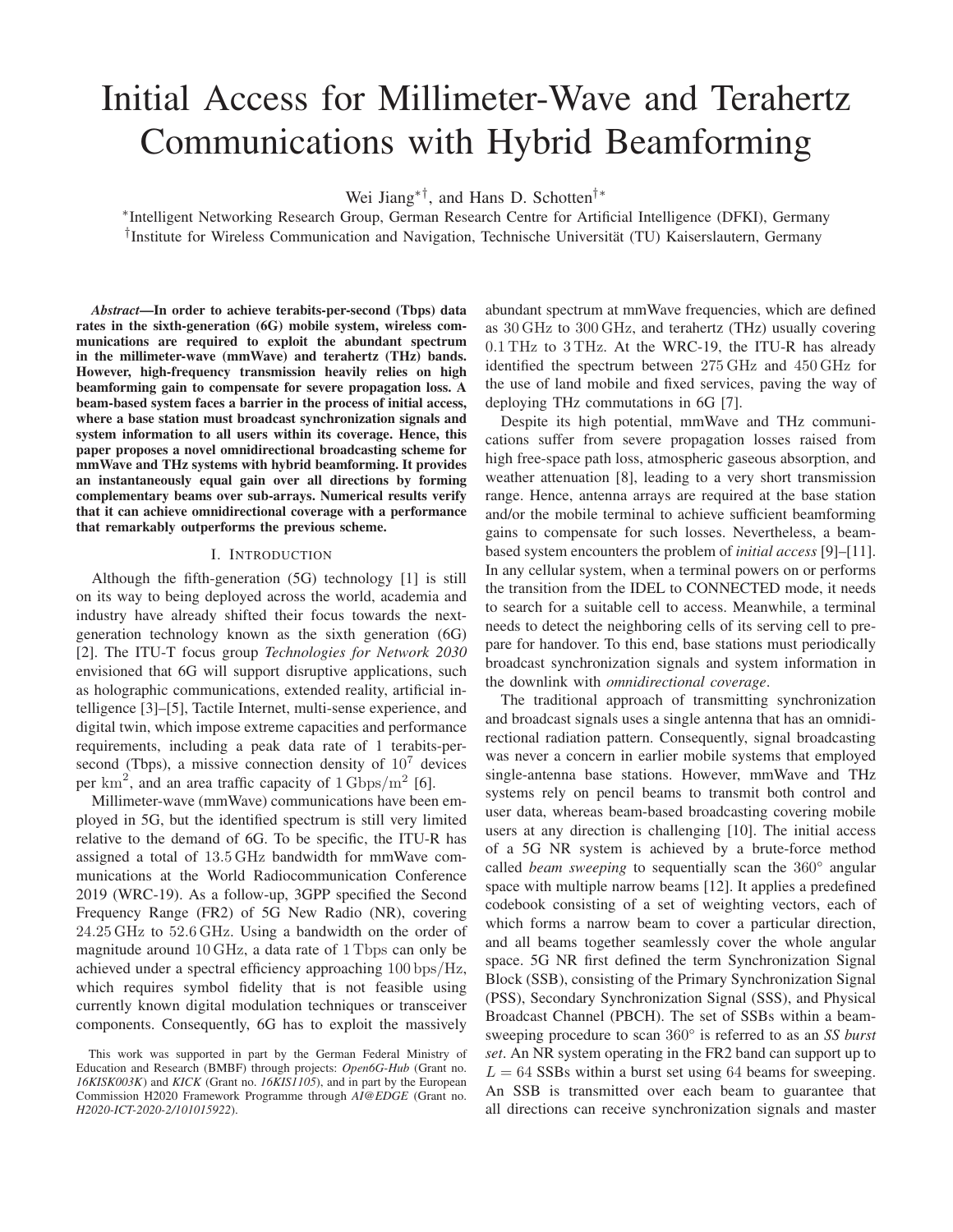# Initial Access for Millimeter-Wave and Terahertz Communications with Hybrid Beamforming

Wei Jiang∗†, and Hans D. Schotten†∗

∗ Intelligent Networking Research Group, German Research Centre for Artificial Intelligence (DFKI), Germany <sup>†</sup>Institute for Wireless Communication and Navigation, Technische Universität (TU) Kaiserslautern, Germany

*Abstract*—In order to achieve terabits-per-second (Tbps) data rates in the sixth-generation (6G) mobile system, wireless communications are required to exploit the abundant spectrum in the millimeter-wave (mmWave) and terahertz (THz) bands. However, high-frequency transmission heavily relies on high beamforming gain to compensate for severe propagation loss. A beam-based system faces a barrier in the process of initial access, where a base station must broadcast synchronization signals and system information to all users within its coverage. Hence, this paper proposes a novel omnidirectional broadcasting scheme for mmWave and THz systems with hybrid beamforming. It provides an instantaneously equal gain over all directions by forming complementary beams over sub-arrays. Numerical results verify that it can achieve omnidirectional coverage with a performance that remarkably outperforms the previous scheme.

## I. INTRODUCTION

Although the fifth-generation (5G) technology [1] is still on its way to being deployed across the world, academia and industry have already shifted their focus towards the nextgeneration technology known as the sixth generation (6G) [2]. The ITU-T focus group *Technologies for Network 2030* envisioned that 6G will support disruptive applications, such as holographic communications, extended reality, artificial intelligence [3]–[5], Tactile Internet, multi-sense experience, and digital twin, which impose extreme capacities and performance requirements, including a peak data rate of 1 terabits-persecond (Tbps), a missive connection density of  $10<sup>7</sup>$  devices per  $\text{km}^2$ , and an area traffic capacity of  $1 \text{Gbps/m}^2$  [6].

Millimeter-wave (mmWave) communications have been employed in 5G, but the identified spectrum is still very limited relative to the demand of 6G. To be specific, the ITU-R has assigned a total of 13.5 GHz bandwidth for mmWave communications at the World Radiocommunication Conference 2019 (WRC-19). As a follow-up, 3GPP specified the Second Frequency Range (FR2) of 5G New Radio (NR), covering 24.25 GHz to 52.6 GHz. Using a bandwidth on the order of magnitude around 10 GHz, a data rate of 1 Tbps can only be achieved under a spectral efficiency approaching 100 bps/Hz, which requires symbol fidelity that is not feasible using currently known digital modulation techniques or transceiver components. Consequently, 6G has to exploit the massively

abundant spectrum at mmWave frequencies, which are defined as 30 GHz to 300 GHz, and terahertz (THz) usually covering 0.1 THz to 3 THz. At the WRC-19, the ITU-R has already identified the spectrum between 275 GHz and 450 GHz for the use of land mobile and fixed services, paving the way of deploying THz commutations in 6G [7].

Despite its high potential, mmWave and THz communications suffer from severe propagation losses raised from high free-space path loss, atmospheric gaseous absorption, and weather attenuation [8], leading to a very short transmission range. Hence, antenna arrays are required at the base station and/or the mobile terminal to achieve sufficient beamforming gains to compensate for such losses. Nevertheless, a beambased system encounters the problem of *initial access* [9]–[11]. In any cellular system, when a terminal powers on or performs the transition from the IDEL to CONNECTED mode, it needs to search for a suitable cell to access. Meanwhile, a terminal needs to detect the neighboring cells of its serving cell to prepare for handover. To this end, base stations must periodically broadcast synchronization signals and system information in the downlink with *omnidirectional coverage*.

The traditional approach of transmitting synchronization and broadcast signals uses a single antenna that has an omnidirectional radiation pattern. Consequently, signal broadcasting was never a concern in earlier mobile systems that employed single-antenna base stations. However, mmWave and THz systems rely on pencil beams to transmit both control and user data, whereas beam-based broadcasting covering mobile users at any direction is challenging [10]. The initial access of a 5G NR system is achieved by a brute-force method called *beam sweeping* to sequentially scan the 360° angular space with multiple narrow beams [12]. It applies a predefined codebook consisting of a set of weighting vectors, each of which forms a narrow beam to cover a particular direction, and all beams together seamlessly cover the whole angular space. 5G NR first defined the term Synchronization Signal Block (SSB), consisting of the Primary Synchronization Signal (PSS), Secondary Synchronization Signal (SSS), and Physical Broadcast Channel (PBCH). The set of SSBs within a beamsweeping procedure to scan 360° is referred to as an *SS burst set*. An NR system operating in the FR2 band can support up to  $L = 64$  SSBs within a burst set using 64 beams for sweeping. An SSB is transmitted over each beam to guarantee that all directions can receive synchronization signals and master

This work was supported in part by the German Federal Ministry of Education and Research (BMBF) through projects: *Open6G-Hub* (Grant no. *16KISK003K*) and *KICK* (Grant no. *16KIS1105*), and in part by the European Commission H2020 Framework Programme through *AI@EDGE* (Grant no. *H2020-ICT-2020-2/101015922*).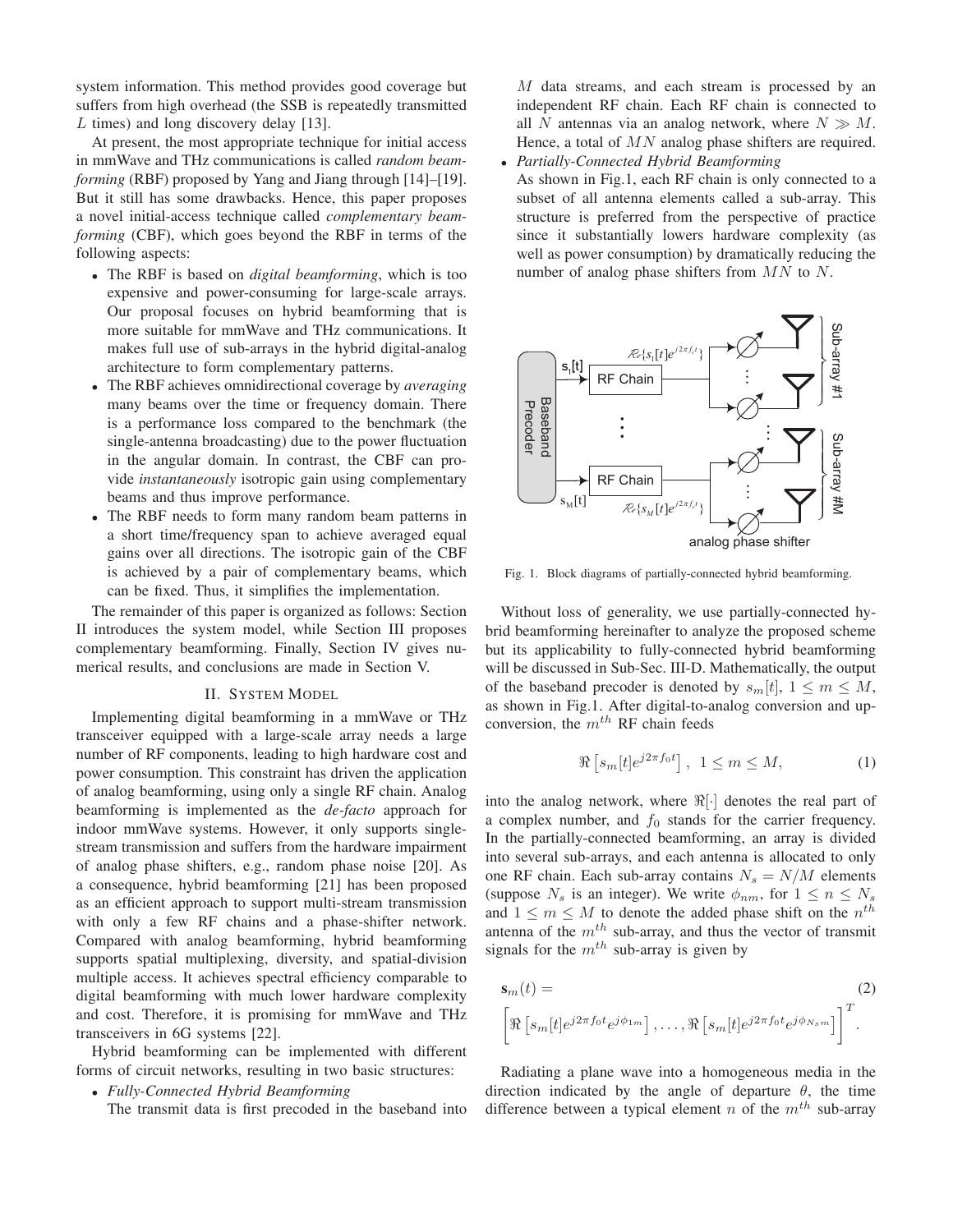system information. This method provides good coverage but suffers from high overhead (the SSB is repeatedly transmitted L times) and long discovery delay [13].

At present, the most appropriate technique for initial access in mmWave and THz communications is called *random beamforming* (RBF) proposed by Yang and Jiang through [14]–[19]. But it still has some drawbacks. Hence, this paper proposes a novel initial-access technique called *complementary beamforming* (CBF), which goes beyond the RBF in terms of the following aspects:

- The RBF is based on *digital beamforming*, which is too expensive and power-consuming for large-scale arrays. Our proposal focuses on hybrid beamforming that is more suitable for mmWave and THz communications. It makes full use of sub-arrays in the hybrid digital-analog architecture to form complementary patterns.
- The RBF achieves omnidirectional coverage by *averaging* many beams over the time or frequency domain. There is a performance loss compared to the benchmark (the single-antenna broadcasting) due to the power fluctuation in the angular domain. In contrast, the CBF can provide *instantaneously* isotropic gain using complementary beams and thus improve performance.
- The RBF needs to form many random beam patterns in a short time/frequency span to achieve averaged equal gains over all directions. The isotropic gain of the CBF is achieved by a pair of complementary beams, which can be fixed. Thus, it simplifies the implementation.

The remainder of this paper is organized as follows: Section II introduces the system model, while Section III proposes complementary beamforming. Finally, Section IV gives numerical results, and conclusions are made in Section V.

## II. SYSTEM MODEL

Implementing digital beamforming in a mmWave or THz transceiver equipped with a large-scale array needs a large number of RF components, leading to high hardware cost and power consumption. This constraint has driven the application of analog beamforming, using only a single RF chain. Analog beamforming is implemented as the *de-facto* approach for indoor mmWave systems. However, it only supports singlestream transmission and suffers from the hardware impairment of analog phase shifters, e.g., random phase noise [20]. As a consequence, hybrid beamforming [21] has been proposed as an efficient approach to support multi-stream transmission with only a few RF chains and a phase-shifter network. Compared with analog beamforming, hybrid beamforming supports spatial multiplexing, diversity, and spatial-division multiple access. It achieves spectral efficiency comparable to digital beamforming with much lower hardware complexity and cost. Therefore, it is promising for mmWave and THz transceivers in 6G systems [22].

Hybrid beamforming can be implemented with different forms of circuit networks, resulting in two basic structures:

• *Fully-Connected Hybrid Beamforming*

The transmit data is first precoded in the baseband into

M data streams, and each stream is processed by an independent RF chain. Each RF chain is connected to all N antennas via an analog network, where  $N \gg M$ . Hence, a total of  $MN$  analog phase shifters are required.

• *Partially-Connected Hybrid Beamforming* As shown in Fig.1, each RF chain is only connected to a subset of all antenna elements called a sub-array. This structure is preferred from the perspective of practice since it substantially lowers hardware complexity (as well as power consumption) by dramatically reducing the number of analog phase shifters from  $MN$  to N.



Fig. 1. Block diagrams of partially-connected hybrid beamforming.

Without loss of generality, we use partially-connected hybrid beamforming hereinafter to analyze the proposed scheme but its applicability to fully-connected hybrid beamforming will be discussed in Sub-Sec. III-D. Mathematically, the output of the baseband precoder is denoted by  $s_m[t]$ ,  $1 \leq m \leq M$ , as shown in Fig.1. After digital-to-analog conversion and upconversion, the  $m^{th}$  RF chain feeds

$$
\Re\left[s_m[t]e^{j2\pi f_0t}\right], \ 1 \le m \le M,\tag{1}
$$

into the analog network, where  $\Re[\cdot]$  denotes the real part of a complex number, and  $f_0$  stands for the carrier frequency. In the partially-connected beamforming, an array is divided into several sub-arrays, and each antenna is allocated to only one RF chain. Each sub-array contains  $N_s = N/M$  elements (suppose  $N_s$  is an integer). We write  $\phi_{nm}$ , for  $1 \leq n \leq N_s$ and  $1 \leq m \leq M$  to denote the added phase shift on the  $n^{th}$ antenna of the  $m<sup>th</sup>$  sub-array, and thus the vector of transmit signals for the  $m^{th}$  sub-array is given by

$$
\mathbf{s}_m(t) = (2)
$$
  

$$
\left[ \Re \left[ s_m[t] e^{j2\pi f_0 t} e^{j\phi_{1m}} \right], \dots, \Re \left[ s_m[t] e^{j2\pi f_0 t} e^{j\phi_{N_s m}} \right] \right]^T.
$$

Radiating a plane wave into a homogeneous media in the direction indicated by the angle of departure  $\theta$ , the time difference between a typical element n of the  $m<sup>th</sup>$  sub-array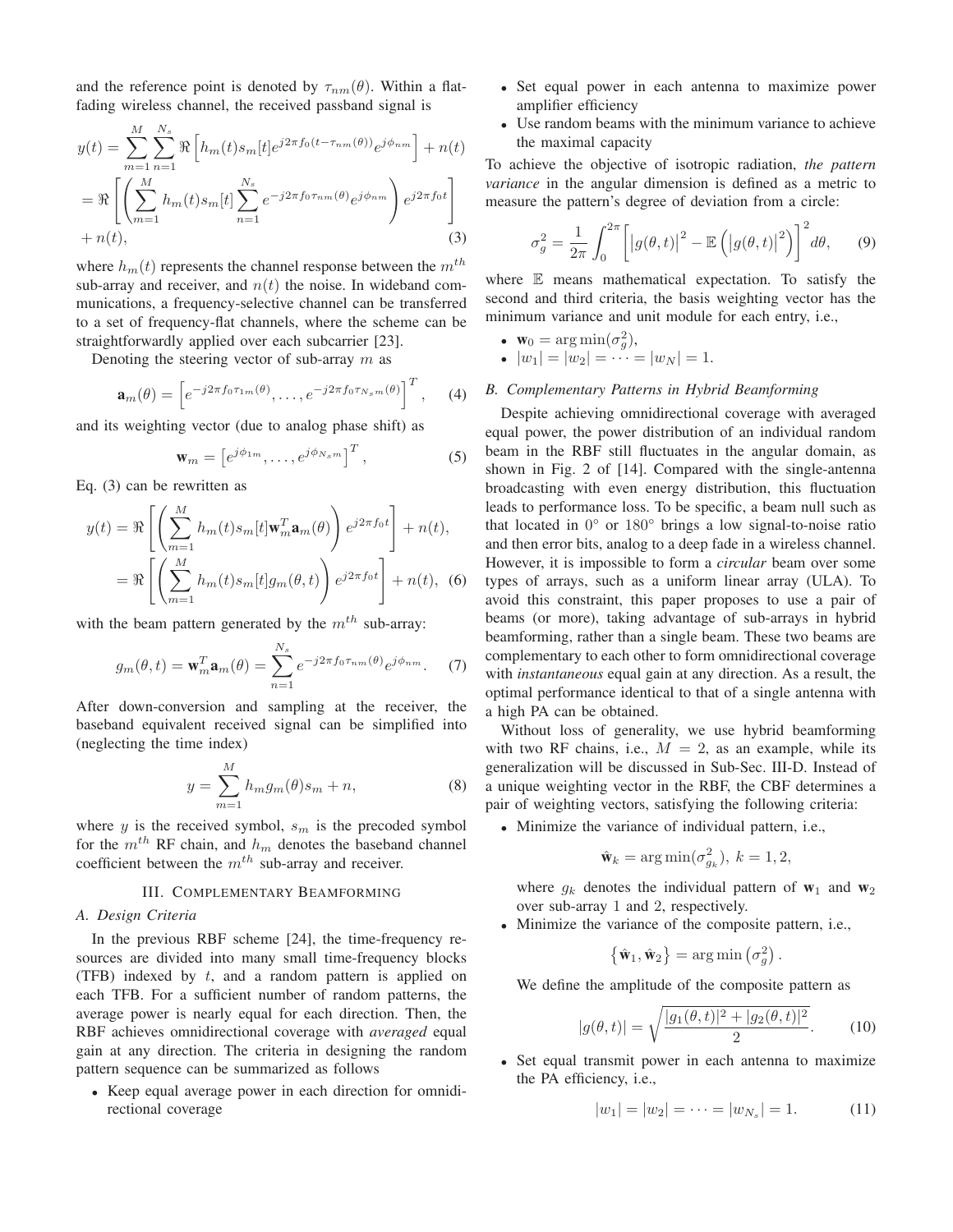and the reference point is denoted by  $\tau_{nm}(\theta)$ . Within a flatfading wireless channel, the received passband signal is

$$
y(t) = \sum_{m=1}^{M} \sum_{n=1}^{N_s} \Re \left[ h_m(t) s_m[t] e^{j2\pi f_0(t - \tau_{nm}(\theta))} e^{j\phi_{nm}} \right] + n(t)
$$
  
=  $\Re \left[ \left( \sum_{m=1}^{M} h_m(t) s_m[t] \sum_{n=1}^{N_s} e^{-j2\pi f_0 \tau_{nm}(\theta)} e^{j\phi_{nm}} \right) e^{j2\pi f_0 t} \right]$   
+  $n(t)$ , (3)

where  $h_m(t)$  represents the channel response between the  $m^{th}$ sub-array and receiver, and  $n(t)$  the noise. In wideband communications, a frequency-selective channel can be transferred to a set of frequency-flat channels, where the scheme can be straightforwardly applied over each subcarrier [23].

Denoting the steering vector of sub-array  $m$  as

$$
\mathbf{a}_{m}(\theta) = \left[e^{-j2\pi f_0 \tau_{1m}(\theta)}, \dots, e^{-j2\pi f_0 \tau_{N_s m}(\theta)}\right]^T, \quad (4)
$$

and its weighting vector (due to analog phase shift) as

$$
\mathbf{w}_m = \left[e^{j\phi_{1m}}, \dots, e^{j\phi_{N_s m}}\right]^T, \tag{5}
$$

Eq. (3) can be rewritten as

$$
y(t) = \Re \left[ \left( \sum_{m=1}^{M} h_m(t) s_m[t] \mathbf{w}_m^T \mathbf{a}_m(\theta) \right) e^{j2\pi f_0 t} \right] + n(t),
$$
  
= 
$$
\Re \left[ \left( \sum_{m=1}^{M} h_m(t) s_m[t] g_m(\theta, t) \right) e^{j2\pi f_0 t} \right] + n(t), \quad (6)
$$

with the beam pattern generated by the  $m^{th}$  sub-array:

$$
g_m(\theta, t) = \mathbf{w}_m^T \mathbf{a}_m(\theta) = \sum_{n=1}^{N_s} e^{-j2\pi f_0 \tau_{nm}(\theta)} e^{j\phi_{nm}}.
$$
 (7)

After down-conversion and sampling at the receiver, the baseband equivalent received signal can be simplified into (neglecting the time index)

$$
y = \sum_{m=1}^{M} h_m g_m(\theta) s_m + n,\tag{8}
$$

where  $y$  is the received symbol,  $s_m$  is the precoded symbol for the  $m^{th}$  RF chain, and  $h_m$  denotes the baseband channel coefficient between the  $m<sup>th</sup>$  sub-array and receiver.

## III. COMPLEMENTARY BEAMFORMING

# *A. Design Criteria*

In the previous RBF scheme [24], the time-frequency resources are divided into many small time-frequency blocks (TFB) indexed by  $t$ , and a random pattern is applied on each TFB. For a sufficient number of random patterns, the average power is nearly equal for each direction. Then, the RBF achieves omnidirectional coverage with *averaged* equal gain at any direction. The criteria in designing the random pattern sequence can be summarized as follows

• Keep equal average power in each direction for omnidirectional coverage

- Set equal power in each antenna to maximize power amplifier efficiency
- Use random beams with the minimum variance to achieve the maximal capacity

To achieve the objective of isotropic radiation, *the pattern variance* in the angular dimension is defined as a metric to measure the pattern's degree of deviation from a circle:

$$
\sigma_g^2 = \frac{1}{2\pi} \int_0^{2\pi} \left[ \left| g(\theta, t) \right|^2 - \mathbb{E} \left( \left| g(\theta, t) \right|^2 \right) \right]^2 d\theta, \qquad (9)
$$

where E means mathematical expectation. To satisfy the second and third criteria, the basis weighting vector has the minimum variance and unit module for each entry, i.e.,

• 
$$
\mathbf{w}_0 = \arg \min(\sigma_g^2)
$$
,

• 
$$
|w_1| = |w_2| = \cdots = |w_N| = 1.
$$

## *B. Complementary Patterns in Hybrid Beamforming*

Despite achieving omnidirectional coverage with averaged equal power, the power distribution of an individual random beam in the RBF still fluctuates in the angular domain, as shown in Fig. 2 of [14]. Compared with the single-antenna broadcasting with even energy distribution, this fluctuation leads to performance loss. To be specific, a beam null such as that located in 0° or 180° brings a low signal-to-noise ratio and then error bits, analog to a deep fade in a wireless channel. However, it is impossible to form a *circular* beam over some types of arrays, such as a uniform linear array (ULA). To avoid this constraint, this paper proposes to use a pair of beams (or more), taking advantage of sub-arrays in hybrid beamforming, rather than a single beam. These two beams are complementary to each other to form omnidirectional coverage with *instantaneous* equal gain at any direction. As a result, the optimal performance identical to that of a single antenna with a high PA can be obtained.

Without loss of generality, we use hybrid beamforming with two RF chains, i.e.,  $M = 2$ , as an example, while its generalization will be discussed in Sub-Sec. III-D. Instead of a unique weighting vector in the RBF, the CBF determines a pair of weighting vectors, satisfying the following criteria:

• Minimize the variance of individual pattern, i.e.,

$$
\hat{\mathbf{w}}_k = \arg\min(\sigma_{g_k}^2), \ k = 1, 2,
$$

where  $g_k$  denotes the individual pattern of  $w_1$  and  $w_2$ over sub-array 1 and 2, respectively.

• Minimize the variance of the composite pattern, i.e.,

$$
\{\hat{\mathbf{w}}_1, \hat{\mathbf{w}}_2\} = \arg\min(\sigma_g^2).
$$

We define the amplitude of the composite pattern as

$$
|g(\theta, t)| = \sqrt{\frac{|g_1(\theta, t)|^2 + |g_2(\theta, t)|^2}{2}}.
$$
 (10)

• Set equal transmit power in each antenna to maximize the PA efficiency, i.e.,

$$
|w_1| = |w_2| = \dots = |w_{N_s}| = 1.
$$
 (11)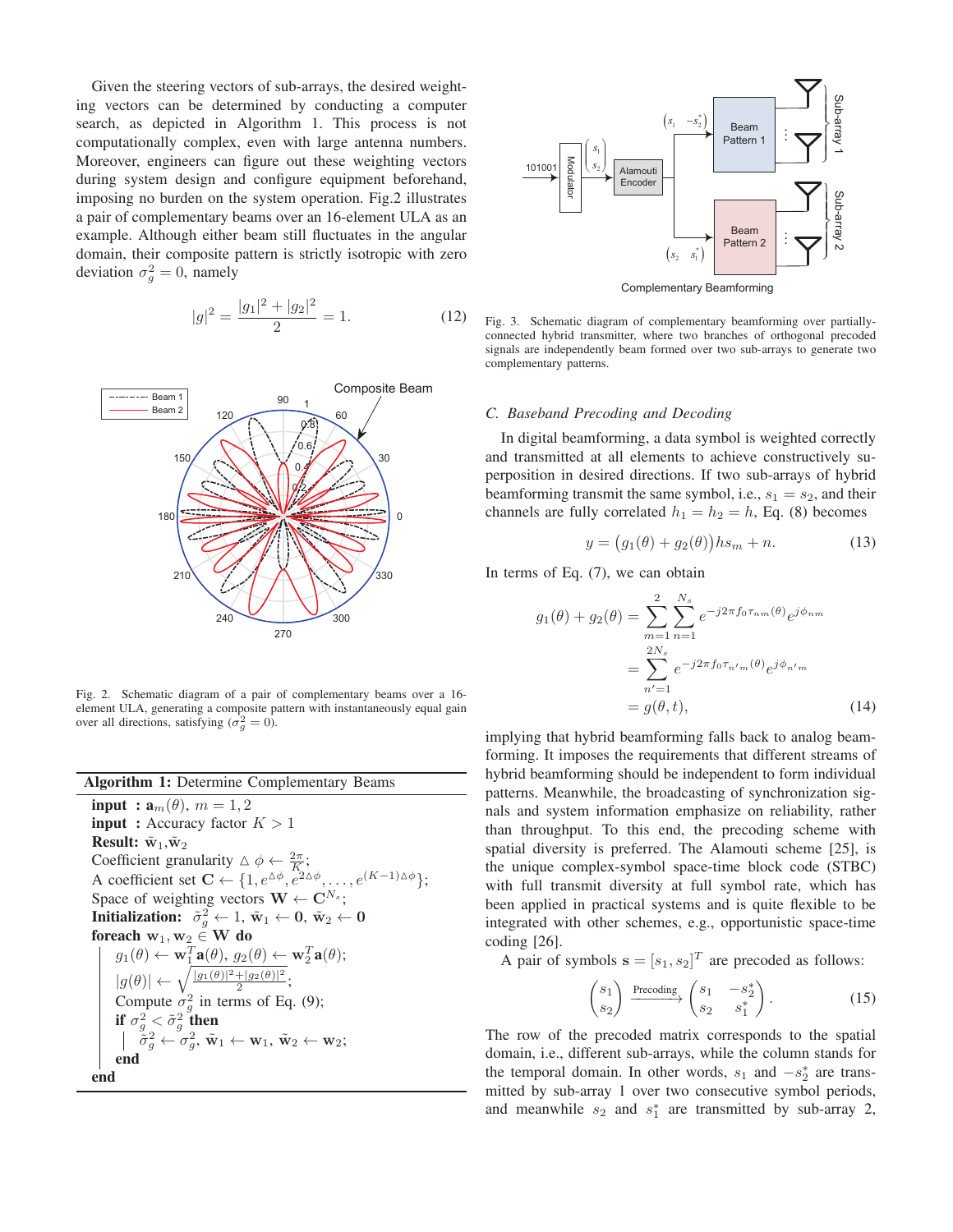Given the steering vectors of sub-arrays, the desired weighting vectors can be determined by conducting a computer search, as depicted in Algorithm 1. This process is not computationally complex, even with large antenna numbers. Moreover, engineers can figure out these weighting vectors during system design and configure equipment beforehand, imposing no burden on the system operation. Fig.2 illustrates a pair of complementary beams over an 16-element ULA as an example. Although either beam still fluctuates in the angular domain, their composite pattern is strictly isotropic with zero deviation  $\sigma_g^2 = 0$ , namely

$$
|g|^2 = \frac{|g_1|^2 + |g_2|^2}{2} = 1.
$$
 (12)



Fig. 2. Schematic diagram of a pair of complementary beams over a 16 element ULA, generating a composite pattern with instantaneously equal gain over all directions, satisfying  $(\sigma_g^2 = 0)$ .

| <b>Algorithm 1: Determine Complementary Beams</b>                                                                                        |
|------------------------------------------------------------------------------------------------------------------------------------------|
| <b>input</b> : $\mathbf{a}_m(\theta)$ , $m = 1, 2$                                                                                       |
| <b>input</b> : Accuracy factor $K > 1$                                                                                                   |
| <b>Result:</b> $\tilde{\mathbf{w}}_1, \tilde{\mathbf{w}}_2$                                                                              |
| Coefficient granularity $\Delta \phi \leftarrow \frac{2\pi}{K}$ ;                                                                        |
| A coefficient set $\mathbf{C} \leftarrow \{1, e^{\Delta \phi}, e^{2\Delta \phi}, \dots, e^{(K-1)\Delta \phi}\}$ ;                        |
| Space of weighting vectors $\mathbf{W} \leftarrow \mathbf{C}^{N_s}$ :                                                                    |
| Initialization: $\tilde{\sigma}_a^2 \leftarrow 1$ , $\tilde{w}_1 \leftarrow 0$ , $\tilde{w}_2 \leftarrow 0$                              |
| foreach $w_1, w_2 \in W$ do                                                                                                              |
| $g_1(\theta) \leftarrow \mathbf{w}_1^T \mathbf{a}(\theta), g_2(\theta) \leftarrow \mathbf{w}_2^T \mathbf{a}(\theta);$                    |
| $ g(\theta)  \leftarrow \sqrt{\frac{ g_1(\theta) ^2 +  g_2(\theta) ^2}{2}};$                                                             |
| Compute $\sigma_q^2$ in terms of Eq. (9);                                                                                                |
| if $\sigma_q^2 < \tilde{\sigma}_q^2$ then                                                                                                |
| $ \tilde{\sigma}_a^2 \leftarrow \sigma_a^2, \tilde{\mathbf{w}}_1 \leftarrow \mathbf{w}_1, \tilde{\mathbf{w}}_2 \leftarrow \mathbf{w}_2;$ |
| end                                                                                                                                      |
| end                                                                                                                                      |



Fig. 3. Schematic diagram of complementary beamforming over partiallyconnected hybrid transmitter, where two branches of orthogonal precoded signals are independently beam formed over two sub-arrays to generate two complementary patterns.

#### *C. Baseband Precoding and Decoding*

In digital beamforming, a data symbol is weighted correctly and transmitted at all elements to achieve constructively superposition in desired directions. If two sub-arrays of hybrid beamforming transmit the same symbol, i.e.,  $s_1 = s_2$ , and their channels are fully correlated  $h_1 = h_2 = h$ , Eq. (8) becomes

$$
y = (g_1(\theta) + g_2(\theta))hs_m + n. \tag{13}
$$

In terms of Eq. (7), we can obtain

$$
g_1(\theta) + g_2(\theta) = \sum_{m=1}^{2} \sum_{n=1}^{N_s} e^{-j2\pi f_0 \tau_{nm}(\theta)} e^{j\phi_{nm}}
$$
  
= 
$$
\sum_{n'=1}^{2N_s} e^{-j2\pi f_0 \tau_{n'm}(\theta)} e^{j\phi_{n'm}}
$$
  
= 
$$
g(\theta, t),
$$
 (14)

implying that hybrid beamforming falls back to analog beamforming. It imposes the requirements that different streams of hybrid beamforming should be independent to form individual patterns. Meanwhile, the broadcasting of synchronization signals and system information emphasize on reliability, rather than throughput. To this end, the precoding scheme with spatial diversity is preferred. The Alamouti scheme [25], is the unique complex-symbol space-time block code (STBC) with full transmit diversity at full symbol rate, which has been applied in practical systems and is quite flexible to be integrated with other schemes, e.g., opportunistic space-time coding [26].

A pair of symbols  $\mathbf{s} = [s_1, s_2]^T$  are precoded as follows:

$$
\begin{pmatrix} s_1 \\ s_2 \end{pmatrix} \xrightarrow{\text{Precoding}} \begin{pmatrix} s_1 & -s_2^* \\ s_2 & s_1^* \end{pmatrix} . \tag{15}
$$

The row of the precoded matrix corresponds to the spatial domain, i.e., different sub-arrays, while the column stands for the temporal domain. In other words,  $s_1$  and  $-s_2^*$  are transmitted by sub-array 1 over two consecutive symbol periods, and meanwhile  $s_2$  and  $s_1^*$  are transmitted by sub-array 2,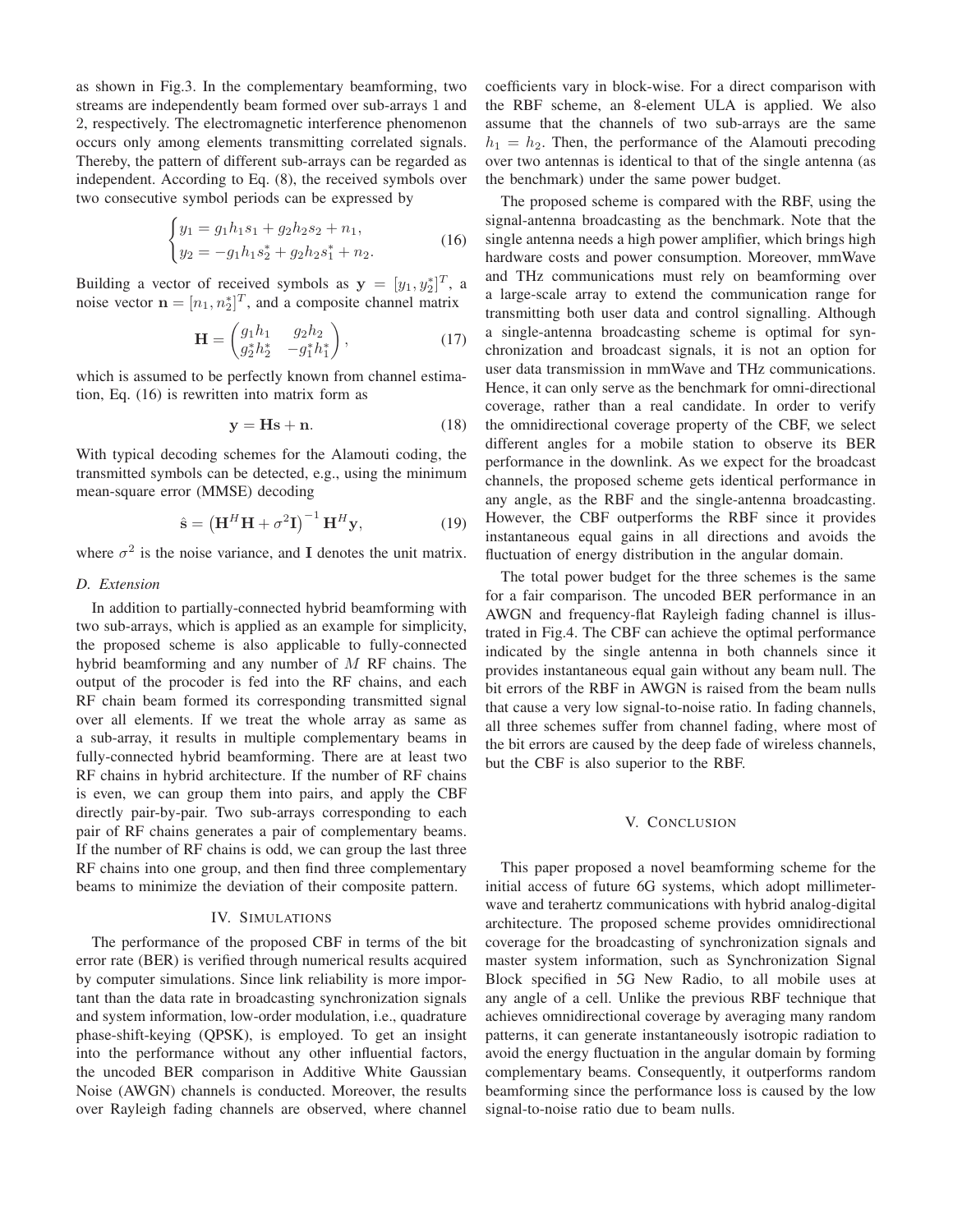as shown in Fig.3. In the complementary beamforming, two streams are independently beam formed over sub-arrays 1 and 2, respectively. The electromagnetic interference phenomenon occurs only among elements transmitting correlated signals. Thereby, the pattern of different sub-arrays can be regarded as independent. According to Eq. (8), the received symbols over two consecutive symbol periods can be expressed by

$$
\begin{cases}\n y_1 = g_1 h_1 s_1 + g_2 h_2 s_2 + n_1, \\
y_2 = -g_1 h_1 s_2^* + g_2 h_2 s_1^* + n_2.\n\end{cases}
$$
\n(16)

Building a vector of received symbols as  $y = [y_1, y_2^*]^T$ , a noise vector  $\mathbf{n} = [n_1, n_2^*]^T$ , and a composite channel matrix

$$
\mathbf{H} = \begin{pmatrix} g_1 h_1 & g_2 h_2 \\ g_2^* h_2^* & -g_1^* h_1^* \end{pmatrix},\tag{17}
$$

which is assumed to be perfectly known from channel estimation, Eq. (16) is rewritten into matrix form as

$$
y = Hs + n.\t(18)
$$

With typical decoding schemes for the Alamouti coding, the transmitted symbols can be detected, e.g., using the minimum mean-square error (MMSE) decoding

$$
\hat{\mathbf{s}} = \left(\mathbf{H}^H \mathbf{H} + \sigma^2 \mathbf{I}\right)^{-1} \mathbf{H}^H \mathbf{y},\tag{19}
$$

where  $\sigma^2$  is the noise variance, and I denotes the unit matrix.

## *D. Extension*

In addition to partially-connected hybrid beamforming with two sub-arrays, which is applied as an example for simplicity, the proposed scheme is also applicable to fully-connected hybrid beamforming and any number of M RF chains. The output of the procoder is fed into the RF chains, and each RF chain beam formed its corresponding transmitted signal over all elements. If we treat the whole array as same as a sub-array, it results in multiple complementary beams in fully-connected hybrid beamforming. There are at least two RF chains in hybrid architecture. If the number of RF chains is even, we can group them into pairs, and apply the CBF directly pair-by-pair. Two sub-arrays corresponding to each pair of RF chains generates a pair of complementary beams. If the number of RF chains is odd, we can group the last three RF chains into one group, and then find three complementary beams to minimize the deviation of their composite pattern.

# IV. SIMULATIONS

The performance of the proposed CBF in terms of the bit error rate (BER) is verified through numerical results acquired by computer simulations. Since link reliability is more important than the data rate in broadcasting synchronization signals and system information, low-order modulation, i.e., quadrature phase-shift-keying (QPSK), is employed. To get an insight into the performance without any other influential factors, the uncoded BER comparison in Additive White Gaussian Noise (AWGN) channels is conducted. Moreover, the results over Rayleigh fading channels are observed, where channel coefficients vary in block-wise. For a direct comparison with the RBF scheme, an 8-element ULA is applied. We also assume that the channels of two sub-arrays are the same  $h_1 = h_2$ . Then, the performance of the Alamouti precoding over two antennas is identical to that of the single antenna (as the benchmark) under the same power budget.

The proposed scheme is compared with the RBF, using the signal-antenna broadcasting as the benchmark. Note that the single antenna needs a high power amplifier, which brings high hardware costs and power consumption. Moreover, mmWave and THz communications must rely on beamforming over a large-scale array to extend the communication range for transmitting both user data and control signalling. Although a single-antenna broadcasting scheme is optimal for synchronization and broadcast signals, it is not an option for user data transmission in mmWave and THz communications. Hence, it can only serve as the benchmark for omni-directional coverage, rather than a real candidate. In order to verify the omnidirectional coverage property of the CBF, we select different angles for a mobile station to observe its BER performance in the downlink. As we expect for the broadcast channels, the proposed scheme gets identical performance in any angle, as the RBF and the single-antenna broadcasting. However, the CBF outperforms the RBF since it provides instantaneous equal gains in all directions and avoids the fluctuation of energy distribution in the angular domain.

The total power budget for the three schemes is the same for a fair comparison. The uncoded BER performance in an AWGN and frequency-flat Rayleigh fading channel is illustrated in Fig.4. The CBF can achieve the optimal performance indicated by the single antenna in both channels since it provides instantaneous equal gain without any beam null. The bit errors of the RBF in AWGN is raised from the beam nulls that cause a very low signal-to-noise ratio. In fading channels, all three schemes suffer from channel fading, where most of the bit errors are caused by the deep fade of wireless channels, but the CBF is also superior to the RBF.

## V. CONCLUSION

This paper proposed a novel beamforming scheme for the initial access of future 6G systems, which adopt millimeterwave and terahertz communications with hybrid analog-digital architecture. The proposed scheme provides omnidirectional coverage for the broadcasting of synchronization signals and master system information, such as Synchronization Signal Block specified in 5G New Radio, to all mobile uses at any angle of a cell. Unlike the previous RBF technique that achieves omnidirectional coverage by averaging many random patterns, it can generate instantaneously isotropic radiation to avoid the energy fluctuation in the angular domain by forming complementary beams. Consequently, it outperforms random beamforming since the performance loss is caused by the low signal-to-noise ratio due to beam nulls.